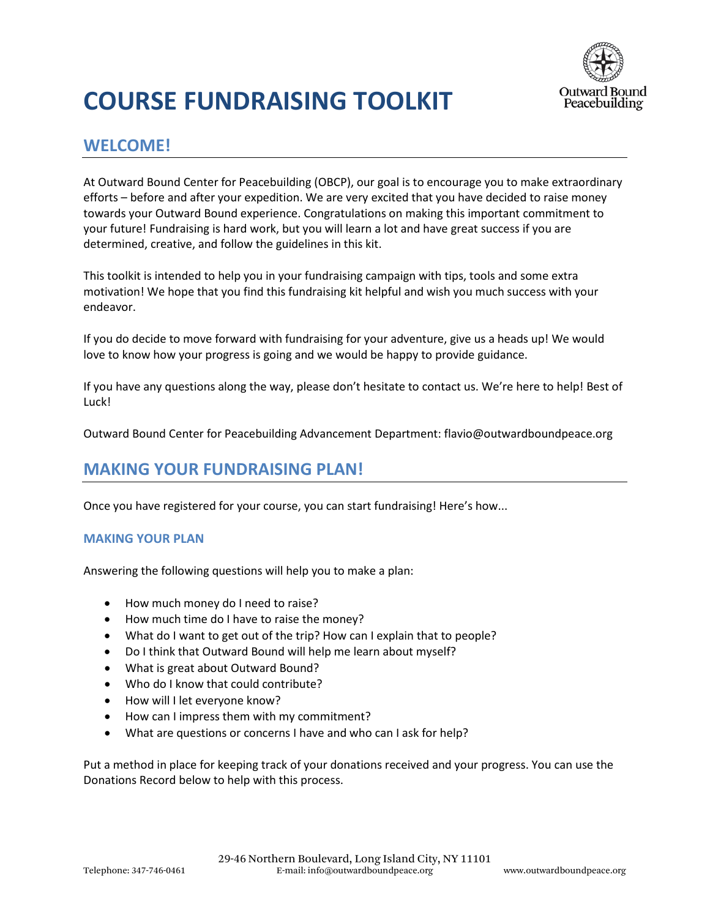

# **COURSE FUNDRAISING TOOLKIT**

### **WELCOME!**

At Outward Bound Center for Peacebuilding (OBCP), our goal is to encourage you to make extraordinary efforts – before and after your expedition. We are very excited that you have decided to raise money towards your Outward Bound experience. Congratulations on making this important commitment to your future! Fundraising is hard work, but you will learn a lot and have great success if you are determined, creative, and follow the guidelines in this kit.

This toolkit is intended to help you in your fundraising campaign with tips, tools and some extra motivation! We hope that you find this fundraising kit helpful and wish you much success with your endeavor.

If you do decide to move forward with fundraising for your adventure, give us a heads up! We would love to know how your progress is going and we would be happy to provide guidance.

If you have any questions along the way, please don't hesitate to contact us. We're here to help! Best of Luck!

Outward Bound Center for Peacebuilding Advancement Department: flavio@outwardboundpeace.org

### **MAKING YOUR FUNDRAISING PLAN!**

Once you have registered for your course, you can start fundraising! Here's how...

#### **MAKING YOUR PLAN**

Answering the following questions will help you to make a plan:

- How much money do I need to raise?
- How much time do I have to raise the money?
- What do I want to get out of the trip? How can I explain that to people?
- Do I think that Outward Bound will help me learn about myself?
- What is great about Outward Bound?
- Who do I know that could contribute?
- How will I let everyone know?
- How can I impress them with my commitment?
- What are questions or concerns I have and who can I ask for help?

Put a method in place for keeping track of your donations received and your progress. You can use the Donations Record below to help with this process.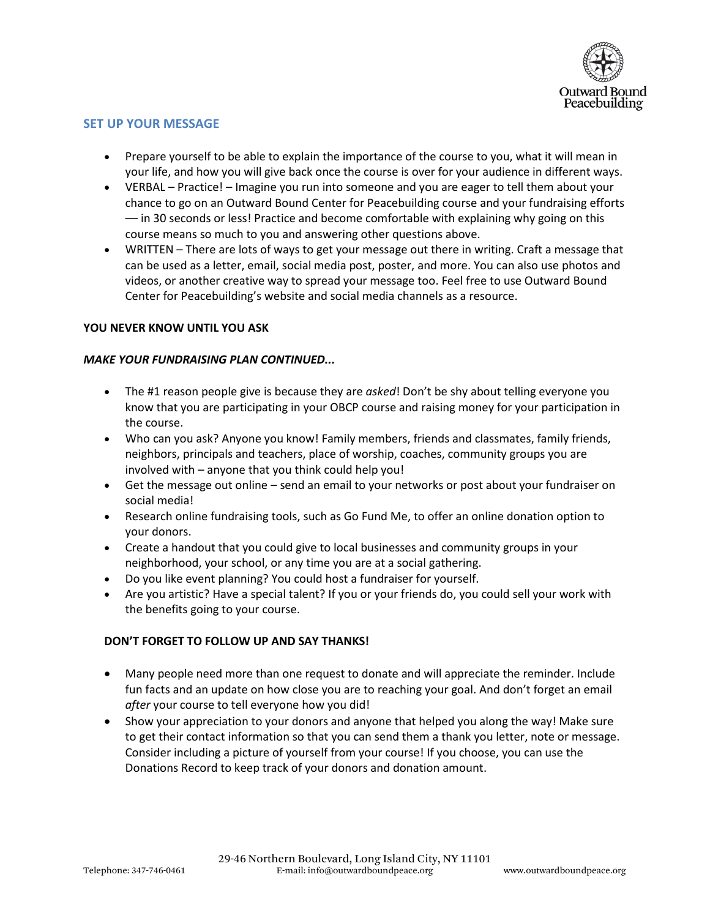

#### **SET UP YOUR MESSAGE**

- Prepare yourself to be able to explain the importance of the course to you, what it will mean in your life, and how you will give back once the course is over for your audience in different ways.
- VERBAL Practice! Imagine you run into someone and you are eager to tell them about your chance to go on an Outward Bound Center for Peacebuilding course and your fundraising efforts –– in 30 seconds or less! Practice and become comfortable with explaining why going on this course means so much to you and answering other questions above.
- WRITTEN There are lots of ways to get your message out there in writing. Craft a message that can be used as a letter, email, social media post, poster, and more. You can also use photos and videos, or another creative way to spread your message too. Feel free to use Outward Bound Center for Peacebuilding's website and social media channels as a resource.

#### **YOU NEVER KNOW UNTIL YOU ASK**

#### *MAKE YOUR FUNDRAISING PLAN CONTINUED...*

- The #1 reason people give is because they are *asked*! Don't be shy about telling everyone you know that you are participating in your OBCP course and raising money for your participation in the course.
- Who can you ask? Anyone you know! Family members, friends and classmates, family friends, neighbors, principals and teachers, place of worship, coaches, community groups you are involved with – anyone that you think could help you!
- Get the message out online send an email to your networks or post about your fundraiser on social media!
- Research online fundraising tools, such as Go Fund Me, to offer an online donation option to your donors.
- Create a handout that you could give to local businesses and community groups in your neighborhood, your school, or any time you are at a social gathering.
- Do you like event planning? You could host a fundraiser for yourself.
- Are you artistic? Have a special talent? If you or your friends do, you could sell your work with the benefits going to your course.

#### **DON'T FORGET TO FOLLOW UP AND SAY THANKS!**

- Many people need more than one request to donate and will appreciate the reminder. Include fun facts and an update on how close you are to reaching your goal. And don't forget an email *after* your course to tell everyone how you did!
- Show your appreciation to your donors and anyone that helped you along the way! Make sure to get their contact information so that you can send them a thank you letter, note or message. Consider including a picture of yourself from your course! If you choose, you can use the Donations Record to keep track of your donors and donation amount.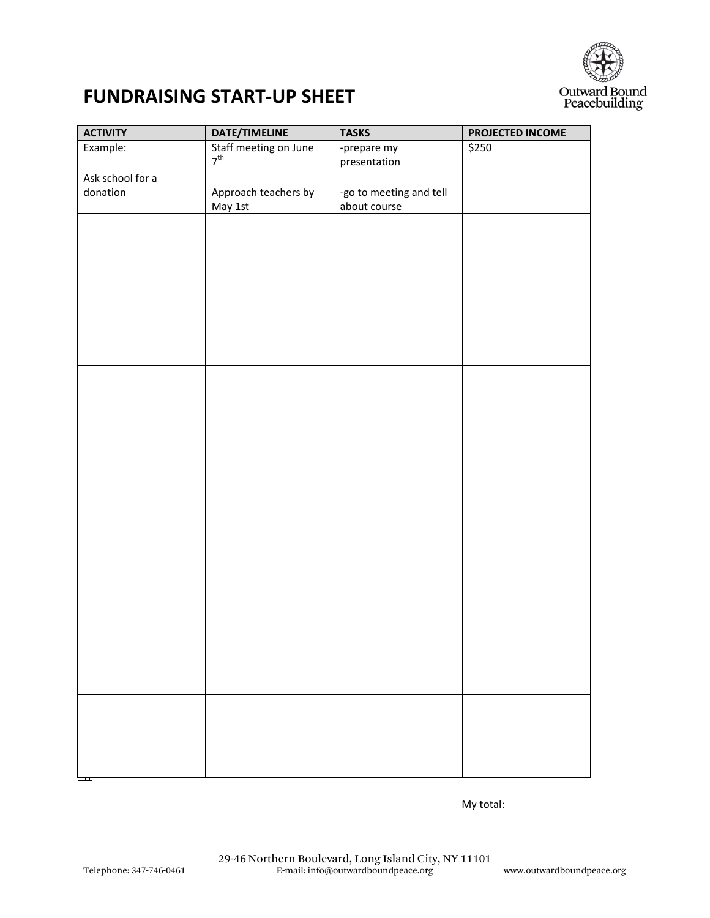

# **FUNDRAISING START-UP SHEET**

| <b>ACTIVITY</b>  | DATE/TIMELINE         | <b>TASKS</b>                            | PROJECTED INCOME |
|------------------|-----------------------|-----------------------------------------|------------------|
| Example:         | Staff meeting on June | -prepare my                             | \$250            |
|                  | $7^{\text{th}}$       | presentation                            |                  |
| Ask school for a |                       |                                         |                  |
| donation         | Approach teachers by  | -go to meeting and tell<br>about course |                  |
|                  | May 1st               |                                         |                  |
|                  |                       |                                         |                  |
|                  |                       |                                         |                  |
|                  |                       |                                         |                  |
|                  |                       |                                         |                  |
|                  |                       |                                         |                  |
|                  |                       |                                         |                  |
|                  |                       |                                         |                  |
|                  |                       |                                         |                  |
|                  |                       |                                         |                  |
|                  |                       |                                         |                  |
|                  |                       |                                         |                  |
|                  |                       |                                         |                  |
|                  |                       |                                         |                  |
|                  |                       |                                         |                  |
|                  |                       |                                         |                  |
|                  |                       |                                         |                  |
|                  |                       |                                         |                  |
|                  |                       |                                         |                  |
|                  |                       |                                         |                  |
|                  |                       |                                         |                  |
|                  |                       |                                         |                  |
|                  |                       |                                         |                  |
|                  |                       |                                         |                  |
|                  |                       |                                         |                  |
|                  |                       |                                         |                  |
|                  |                       |                                         |                  |
|                  |                       |                                         |                  |
|                  |                       |                                         |                  |
|                  |                       |                                         |                  |
|                  |                       |                                         |                  |
|                  |                       |                                         |                  |
|                  |                       |                                         |                  |
|                  |                       |                                         |                  |
|                  |                       |                                         |                  |
|                  |                       |                                         |                  |

My total: